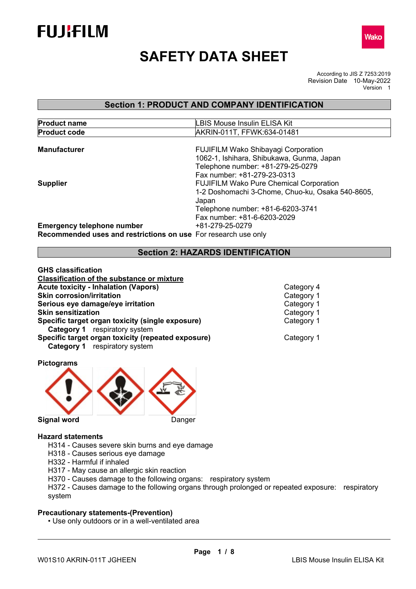



# **SAFETY DATA SHEET**

According to JIS Z 7253:2019 Revision Date 10-May-2022 Version 1

# **Section 1: PRODUCT AND COMPANY IDENTIFICATION**

| <b>Product name</b>                                            | <b>LBIS Mouse Insulin ELISA Kit</b>              |
|----------------------------------------------------------------|--------------------------------------------------|
| <b>Product code</b>                                            | AKRIN-011T, FFWK:634-01481                       |
|                                                                |                                                  |
| <b>Manufacturer</b>                                            | <b>FUJIFILM Wako Shibayagi Corporation</b>       |
|                                                                | 1062-1, Ishihara, Shibukawa, Gunma, Japan        |
|                                                                | Telephone number: +81-279-25-0279                |
|                                                                | Fax number: +81-279-23-0313                      |
| <b>Supplier</b>                                                | <b>FUJIFILM Wako Pure Chemical Corporation</b>   |
|                                                                | 1-2 Doshomachi 3-Chome, Chuo-ku, Osaka 540-8605, |
|                                                                | Japan                                            |
|                                                                | Telephone number: +81-6-6203-3741                |
|                                                                | Fax number: +81-6-6203-2029                      |
| <b>Emergency telephone number</b>                              | +81-279-25-0279                                  |
| Recommended uses and restrictions on use For research use only |                                                  |

# **Section 2: HAZARDS IDENTIFICATION**

| <b>GHS classification</b>                          |
|----------------------------------------------------|
| <b>Classification of the substance or mixture</b>  |
| <b>Acute toxicity - Inhalation (Vapors)</b>        |
| <b>Skin corrosion/irritation</b>                   |
| Serious eye damage/eye irritation                  |
| <b>Skin sensitization</b>                          |
| Specific target organ toxicity (single exposure)   |
| <b>Category 1</b> respiratory system               |
| Specific target organ toxicity (repeated exposure) |
| <b>Category 1</b> respiratory system               |
|                                                    |

**Category 4 Category 1 Category 1 Category 1 Category 1** 

**Category 1** 

**Pictograms** 



#### **Hazard statements**

- H314 Causes severe skin burns and eye damage
- H318 Causes serious eye damage
- H332 Harmful if inhaled
- H317 May cause an allergic skin reaction
- H370 Causes damage to the following organs: respiratory system

H372 - Causes damage to the following organs through prolonged or repeated exposure: respiratory system

#### **Precautionary statements-(Prevention)**

• Use only outdoors or in a well-ventilated area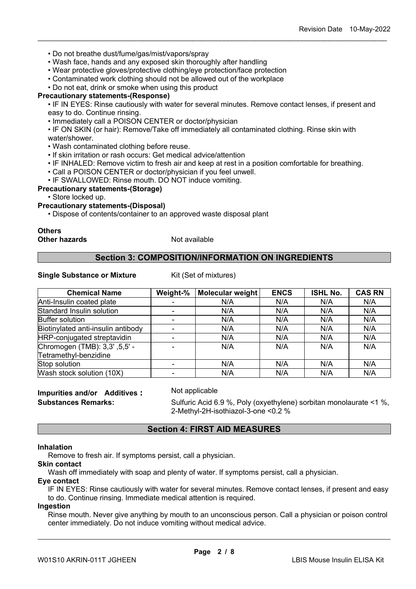- Do not breathe dust/fume/gas/mist/vapors/spray
- Wash face, hands and any exposed skin thoroughly after handling
- Wear protective gloves/protective clothing/eye protection/face protection
- Contaminated work clothing should not be allowed out of the workplace

• Do not eat, drink or smoke when using this product

#### **Precautionary statements-(Response)**

• IF IN EYES: Rinse cautiously with water for several minutes. Remove contact lenses, if present and easy to do. Continue rinsing.

\_\_\_\_\_\_\_\_\_\_\_\_\_\_\_\_\_\_\_\_\_\_\_\_\_\_\_\_\_\_\_\_\_\_\_\_\_\_\_\_\_\_\_\_\_\_\_\_\_\_\_\_\_\_\_\_\_\_\_\_\_\_\_\_\_\_\_\_\_\_\_\_\_\_\_\_\_\_\_\_\_\_\_\_\_\_\_\_\_\_

• Immediately call a POISON CENTER or doctor/physician

• IF ON SKIN (or hair): Remove/Take off immediately all contaminated clothing. Rinse skin with water/shower.

- Wash contaminated clothing before reuse.
- If skin irritation or rash occurs: Get medical advice/attention
- IF INHALED: Remove victim to fresh air and keep at rest in a position comfortable for breathing.
- Call a POISON CENTER or doctor/physician if you feel unwell.
- IF SWALLOWED: Rinse mouth. DO NOT induce vomiting.

#### **Precautionary statements-(Storage)**

• Store locked up.

#### **Precautionary statements-(Disposal)**

• Dispose of contents/container to an approved waste disposal plant

#### **Others Other hazards** Not available

#### **Section 3: COMPOSITION/INFORMATION ON INGREDIENTS**

#### **Single Substance or Mixture** Kit (Set of mixtures)

| <b>Chemical Name</b>               | Weight-%                 | Molecular weight | <b>ENCS</b> | <b>ISHL No.</b> | <b>CAS RN</b> |
|------------------------------------|--------------------------|------------------|-------------|-----------------|---------------|
| Anti-Insulin coated plate          |                          | N/A              | N/A         | N/A             | N/A           |
| Standard Insulin solution          | $\overline{\phantom{0}}$ | N/A              | N/A         | N/A             | N/A           |
| <b>Buffer solution</b>             |                          | N/A              | N/A         | N/A             | N/A           |
| Biotinylated anti-insulin antibody |                          | N/A              | N/A         | N/A             | N/A           |
| HRP-conjugated streptavidin        |                          | N/A              | N/A         | N/A             | N/A           |
| Chromogen (TMB): 3,3' ,5,5' -      |                          | N/A              | N/A         | N/A             | N/A           |
| Tetramethyl-benzidine              |                          |                  |             |                 |               |
| Stop solution                      |                          | N/A              | N/A         | N/A             | N/A           |
| Wash stock solution (10X)          |                          | N/A              | N/A         | N/A             | N/A           |

# **Impurities and/or Additives :** Not applicable

**Substances Remarks:** Sulfuric Acid 6.9 %, Poly (oxyethylene) sorbitan monolaurate <1 %, 2-Methyl-2H-isothiazol-3-one <0.2 %

#### **Section 4: FIRST AID MEASURES**

#### **Inhalation**

Remove to fresh air. If symptoms persist, call a physician.

# **Skin contact**

Wash off immediately with soap and plenty of water. If symptoms persist, call a physician.

#### **Eye contact**

IF IN EYES: Rinse cautiously with water for several minutes. Remove contact lenses, if present and easy to do. Continue rinsing. Immediate medical attention is required.

#### **Ingestion**

Rinse mouth. Never give anything by mouth to an unconscious person. Call a physician or poison control center immediately. Do not induce vomiting without medical advice.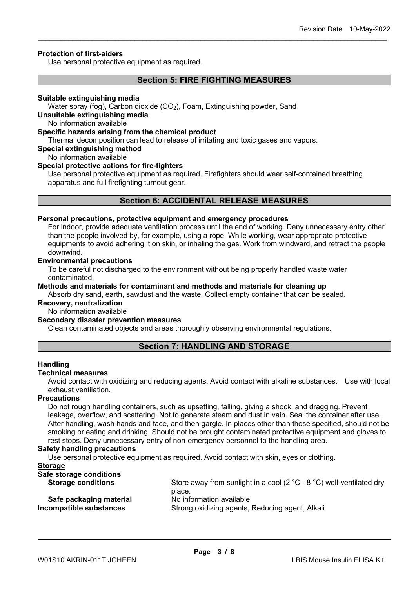#### **Protection of first-aiders**

Use personal protective equipment as required.

#### **Section 5: FIRE FIGHTING MEASURES**

\_\_\_\_\_\_\_\_\_\_\_\_\_\_\_\_\_\_\_\_\_\_\_\_\_\_\_\_\_\_\_\_\_\_\_\_\_\_\_\_\_\_\_\_\_\_\_\_\_\_\_\_\_\_\_\_\_\_\_\_\_\_\_\_\_\_\_\_\_\_\_\_\_\_\_\_\_\_\_\_\_\_\_\_\_\_\_\_\_\_

#### **Suitable extinguishing media**

Water spray (fog), Carbon dioxide (CO<sub>2</sub>), Foam, Extinguishing powder, Sand

#### **Unsuitable extinguishing media**

No information available

#### **Specific hazards arising from the chemical product**

Thermal decomposition can lead to release of irritating and toxic gases and vapors.

#### **Special extinguishing method**

No information available

#### **Special protective actions for fire-fighters**

Use personal protective equipment as required. Firefighters should wear self-contained breathing apparatus and full firefighting turnout gear.

#### **Section 6: ACCIDENTAL RELEASE MEASURES**

#### **Personal precautions, protective equipment and emergency procedures**

For indoor, provide adequate ventilation process until the end of working. Deny unnecessary entry other than the people involved by, for example, using a rope. While working, wear appropriate protective equipments to avoid adhering it on skin, or inhaling the gas. Work from windward, and retract the people downwind.

#### **Environmental precautions**

To be careful not discharged to the environment without being properly handled waste water contaminated.

**Methods and materials for contaminant and methods and materials for cleaning up** Absorb dry sand, earth, sawdust and the waste. Collect empty container that can be sealed.

#### **Recovery, neutralization**

No information available

#### **Secondary disaster prevention measures**

Clean contaminated objects and areas thoroughly observing environmental regulations.

#### **Section 7: HANDLING AND STORAGE**

#### **Handling**

#### **Technical measures**

Avoid contact with oxidizing and reducing agents. Avoid contact with alkaline substances. Use with local exhaust ventilation.

#### **Precautions**

Do not rough handling containers, such as upsetting, falling, giving a shock, and dragging. Prevent leakage, overflow, and scattering. Not to generate steam and dust in vain. Seal the container after use. After handling, wash hands and face, and then gargle. In places other than those specified, should not be smoking or eating and drinking. Should not be brought contaminated protective equipment and gloves to rest stops. Deny unnecessary entry of non-emergency personnel to the handling area.

#### **Safety handling precautions**

Use personal protective equipment as required. Avoid contact with skin, eyes or clothing.

#### **Storage**

| Store away from sunlight in a cool (2 $^{\circ}$ C - 8 $^{\circ}$ C) well-ventilated dry |
|------------------------------------------------------------------------------------------|
| place.                                                                                   |
| No information available                                                                 |
| Strong oxidizing agents, Reducing agent, Alkali                                          |
|                                                                                          |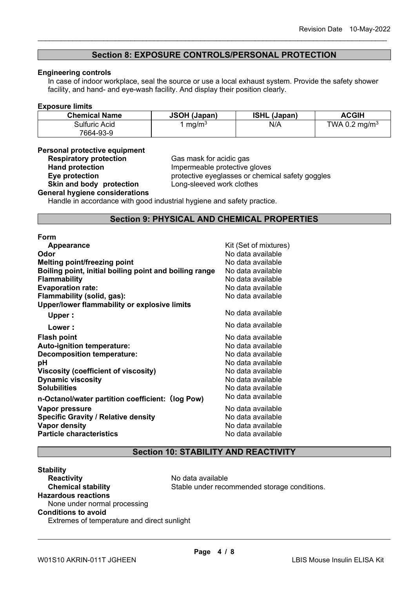### **Section 8: EXPOSURE CONTROLS/PERSONAL PROTECTION**

\_\_\_\_\_\_\_\_\_\_\_\_\_\_\_\_\_\_\_\_\_\_\_\_\_\_\_\_\_\_\_\_\_\_\_\_\_\_\_\_\_\_\_\_\_\_\_\_\_\_\_\_\_\_\_\_\_\_\_\_\_\_\_\_\_\_\_\_\_\_\_\_\_\_\_\_\_\_\_\_\_\_\_\_\_\_\_\_\_\_

#### **Engineering controls**

In case of indoor workplace, seal the source or use a local exhaust system. Provide the safety shower facility, and hand- and eye-wash facility. And display their position clearly.

#### **Exposure limits**

| <b>Chemical Name</b> | <b>JSOH (Japan)</b> | <b>ISHL (Japan)</b> | <b>ACGIH</b>              |
|----------------------|---------------------|---------------------|---------------------------|
| Sulfuric Acid        | mq/m <sup>3</sup>   | N/A                 | TWA 0.2 mg/m <sup>3</sup> |
| 7664-93-9            |                     |                     |                           |

#### **Personal protective equipment**

**Respiratory protection**<br> **Respiratory protection**<br> **Cas mask for acidic gas<br>
Impermeable protective Hand protection**<br> **Eye protection**<br> **Eye protection**<br> **Exercise**<br> **Exercise**<br> **Exercise**<br> **Exercise**<br> **Exercise**<br> **Exercise**<br> **Exercise**<br> **Exercise**<br> **Exercise**<br> **Exercise**<br> **Exercise**<br> **Exercise**<br> **Exercise** protective eyeglasses or chemical safety goggles<br>Long-sleeved work clothes

#### **Skin and body protection General hygiene considerations**

Handle in accordance with good industrial hygiene and safety practice.

#### **Section 9: PHYSICAL AND CHEMICAL PROPERTIES**

#### **Form**

| Appearance                                             | Kit (Set of mixtures) |
|--------------------------------------------------------|-----------------------|
| Odor                                                   | No data available     |
| <b>Melting point/freezing point</b>                    | No data available     |
| Boiling point, initial boiling point and boiling range | No data available     |
| <b>Flammability</b>                                    | No data available     |
| <b>Evaporation rate:</b>                               | No data available     |
| Flammability (solid, gas):                             | No data available     |
| Upper/lower flammability or explosive limits           |                       |
| Upper:                                                 | No data available     |
| Lower:                                                 | No data available     |
| <b>Flash point</b>                                     | No data available     |
| <b>Auto-ignition temperature:</b>                      | No data available     |
| <b>Decomposition temperature:</b>                      | No data available     |
| рH                                                     | No data available     |
| Viscosity (coefficient of viscosity)                   | No data available     |
| <b>Dynamic viscosity</b>                               | No data available     |
| <b>Solubilities</b>                                    | No data available     |
| n-Octanol/water partition coefficient: (log Pow)       | No data available     |
| Vapor pressure                                         | No data available     |
| <b>Specific Gravity / Relative density</b>             | No data available     |
| <b>Vapor density</b>                                   | No data available     |
| <b>Particle characteristics</b>                        | No data available     |
|                                                        |                       |

# **Section 10: STABILITY AND REACTIVITY**

#### **Stability Reactivity**<br> **Chemical stability**<br> **Chemical stability**<br> **Chemical stability**<br> **Chemical stability**<br> **Chemical stability** Stable under recommended storage conditions. **Hazardous reactions** None under normal processing **Conditions to avoid** Extremes of temperature and direct sunlight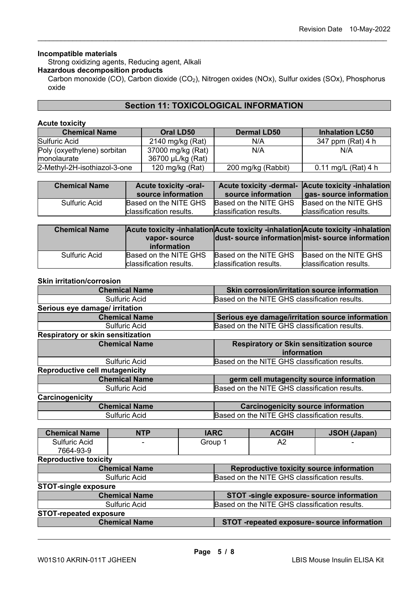#### **Incompatible materials**

Strong oxidizing agents, Reducing agent, Alkali

#### **Hazardous decomposition products**

Carbon monoxide (CO), Carbon dioxide (CO<sub>2</sub>), Nitrogen oxides (NOx), Sulfur oxides (SOx), Phosphorus oxide

\_\_\_\_\_\_\_\_\_\_\_\_\_\_\_\_\_\_\_\_\_\_\_\_\_\_\_\_\_\_\_\_\_\_\_\_\_\_\_\_\_\_\_\_\_\_\_\_\_\_\_\_\_\_\_\_\_\_\_\_\_\_\_\_\_\_\_\_\_\_\_\_\_\_\_\_\_\_\_\_\_\_\_\_\_\_\_\_\_\_

# **Section 11: TOXICOLOGICAL INFORMATION**

#### **Acute toxicity**

| <b>Chemical Name</b>                       | Oral LD50                              | <b>Dermal LD50</b> | <b>Inhalation LC50</b> |
|--------------------------------------------|----------------------------------------|--------------------|------------------------|
| Sulfuric Acid                              | 2140 mg/kg (Rat)                       | N/A                | 347 ppm (Rat) 4 h      |
| Poly (oxyethylene) sorbitan<br>monolaurate | 37000 mg/kg (Rat)<br>36700 µL/kg (Rat) | N/A                | N/A                    |
| 2-Methyl-2H-isothiazol-3-one               | 120 mg/kg $(Rat)$                      | 200 mg/kg (Rabbit) | 0.11 mg/L (Rat) 4 h    |

| <b>Chemical Name</b> | <b>Acute toxicity -oral-</b><br>source information | source information      | Acute toxicity -dermal- Acute toxicity -inhalation<br>gas- source information |
|----------------------|----------------------------------------------------|-------------------------|-------------------------------------------------------------------------------|
| Sulfuric Acid        | Based on the NITE GHS                              | Based on the NITE GHS   | Based on the NITE GHS                                                         |
|                      | <b>classification results.</b>                     | classification results. | classification results.                                                       |

| <b>Chemical Name</b> | vapor-source<br><i>information</i> |                         | Acute toxicity -inhalation Acute toxicity -inhalation Acute toxicity -inhalation<br>dust-source information mist-source information |
|----------------------|------------------------------------|-------------------------|-------------------------------------------------------------------------------------------------------------------------------------|
| <b>Sulfuric Acid</b> | Based on the NITE GHS              | Based on the NITE GHS   | Based on the NITE GHS                                                                                                               |
|                      | classification results.            | classification results. | classification results.                                                                                                             |

#### **Skin irritation/corrosion**

| <b>Chemical Name</b>                  | Skin corrosion/irritation source information     |
|---------------------------------------|--------------------------------------------------|
| <b>Sulfuric Acid</b>                  | Based on the NITE GHS classification results.    |
| Serious eye damage/ irritation        |                                                  |
| <b>Chemical Name</b>                  | Serious eye damage/irritation source information |
| <b>Sulfuric Acid</b>                  | Based on the NITE GHS classification results.    |
| Respiratory or skin sensitization     |                                                  |
| <b>Chemical Name</b>                  | <b>Respiratory or Skin sensitization source</b>  |
|                                       | information                                      |
| <b>Sulfuric Acid</b>                  | Based on the NITE GHS classification results.    |
| <b>Reproductive cell mutagenicity</b> |                                                  |
| <b>Chemical Name</b>                  | germ cell mutagencity source information         |
| <b>Sulfuric Acid</b>                  | Based on the NITE GHS classification results.    |
| Carcinogenicity                       |                                                  |
| <b>Chemical Name</b>                  | <b>Carcinogenicity source information</b>        |
| <b>Sulfuric Acid</b>                  | Based on the NITE GHS classification results.    |

| <b>Chemical Name</b>          | <b>NTP</b>           | <b>IARC</b> |                                               | <b>ACGIH</b>                                  | <b>JSOH (Japan)</b>                         |  |
|-------------------------------|----------------------|-------------|-----------------------------------------------|-----------------------------------------------|---------------------------------------------|--|
| <b>Sulfuric Acid</b>          |                      | Group 1     |                                               | A2                                            |                                             |  |
| 7664-93-9                     |                      |             |                                               |                                               |                                             |  |
| <b>Reproductive toxicity</b>  |                      |             |                                               |                                               |                                             |  |
|                               | <b>Chemical Name</b> |             |                                               | Reproductive toxicity source information      |                                             |  |
|                               | <b>Sulfuric Acid</b> |             |                                               | Based on the NITE GHS classification results. |                                             |  |
| <b>STOT-single exposure</b>   |                      |             |                                               |                                               |                                             |  |
|                               | <b>Chemical Name</b> |             |                                               | STOT -single exposure- source information     |                                             |  |
| <b>Sulfuric Acid</b>          |                      |             | Based on the NITE GHS classification results. |                                               |                                             |  |
| <b>STOT-repeated exposure</b> |                      |             |                                               |                                               |                                             |  |
|                               | <b>Chemical Name</b> |             |                                               |                                               | STOT -repeated exposure- source information |  |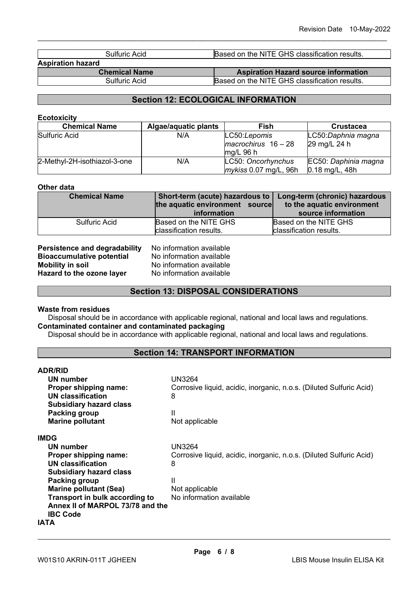| Sulfuric Acid            | Based on the NITE GHS classification results. |
|--------------------------|-----------------------------------------------|
| <b>Aspiration hazard</b> |                                               |
| <b>Chemical Name</b>     | <b>Aspiration Hazard source information</b>   |
| Sulfuric Acid            | Based on the NITE GHS classification results. |

\_\_\_\_\_\_\_\_\_\_\_\_\_\_\_\_\_\_\_\_\_\_\_\_\_\_\_\_\_\_\_\_\_\_\_\_\_\_\_\_\_\_\_\_\_\_\_\_\_\_\_\_\_\_\_\_\_\_\_\_\_\_\_\_\_\_\_\_\_\_\_\_\_\_\_\_\_\_\_\_\_\_\_\_\_\_\_\_\_\_

# **Section 12: ECOLOGICAL INFORMATION**

#### **Ecotoxicity**

| <b>Chemical Name</b>         | Algae/aquatic plants | Fish                  | <b>Crustacea</b>     |
|------------------------------|----------------------|-----------------------|----------------------|
| Sulfuric Acid                | N/A                  | LC50:Lepomis          | LC50:Daphnia magna   |
|                              |                      | $macrochirus$ 16 - 28 | 29 mg/L 24 h         |
|                              |                      | $mq/L$ 96 h           |                      |
| 2-Methyl-2H-isothiazol-3-one | N/A                  | LC50: Oncorhynchus    | EC50: Daphinia magna |
|                              |                      | mykiss 0.07 mg/L, 96h | $0.18$ mg/L, 48h     |

#### **Other data**

| <b>Chemical Name</b> | Short-term (acute) hazardous to   Long-term (chronic) hazardous<br>the aquatic environment source<br>information | to the aquatic environment<br>source information |
|----------------------|------------------------------------------------------------------------------------------------------------------|--------------------------------------------------|
| Sulfuric Acid        | Based on the NITE GHS<br>classification results.                                                                 | Based on the NITE GHS<br>classification results. |

| <b>Persistence and degradability</b> |  |
|--------------------------------------|--|
| <b>Bioaccumulative potential</b>     |  |
| <b>Mobility in soil</b>              |  |
| Hazard to the ozone layer            |  |

**Performation available No information available** No information available **Hazard to the ozone layer** No information available

## **Section 13: DISPOSAL CONSIDERATIONS**

#### **Waste from residues**

**ADR/RID**

Disposal should be in accordance with applicable regional, national and local laws and regulations. **Contaminated container and contaminated packaging**

Disposal should be in accordance with applicable regional, national and local laws and regulations.

## **Section 14: TRANSPORT INFORMATION**

| AUR/RIU                          |                                                                     |
|----------------------------------|---------------------------------------------------------------------|
| <b>UN number</b>                 | UN3264                                                              |
| Proper shipping name:            | Corrosive liquid, acidic, inorganic, n.o.s. (Diluted Sulfuric Acid) |
| <b>UN classification</b>         | 8                                                                   |
| <b>Subsidiary hazard class</b>   |                                                                     |
| Packing group                    | Ш                                                                   |
| <b>Marine pollutant</b>          | Not applicable                                                      |
| <b>IMDG</b>                      |                                                                     |
| UN number                        | <b>UN3264</b>                                                       |
| Proper shipping name:            | Corrosive liquid, acidic, inorganic, n.o.s. (Diluted Sulfuric Acid) |
| <b>UN classification</b>         | 8                                                                   |
| <b>Subsidiary hazard class</b>   |                                                                     |
| Packing group                    | Ш                                                                   |
| <b>Marine pollutant (Sea)</b>    | Not applicable                                                      |
| Transport in bulk according to   | No information available                                            |
| Annex II of MARPOL 73/78 and the |                                                                     |
| <b>IBC Code</b>                  |                                                                     |
| IATA                             |                                                                     |
|                                  |                                                                     |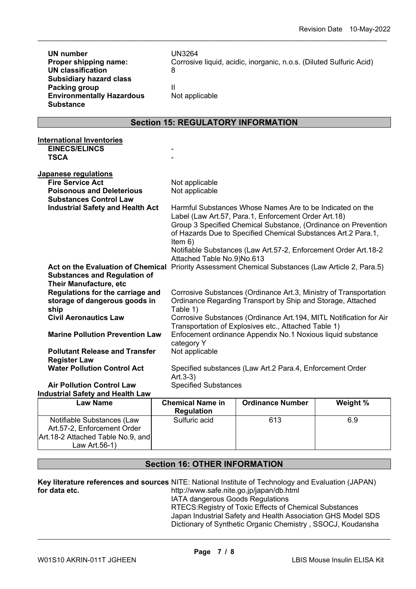| <b>UN number</b><br>Proper shipping name:<br><b>UN classification</b><br><b>Subsidiary hazard class</b><br><b>Packing group</b> | <b>UN3264</b><br>8<br>Ш     | Corrosive liquid, acidic, inorganic, n.o.s. (Diluted Sulfuric Acid) |  |  |
|---------------------------------------------------------------------------------------------------------------------------------|-----------------------------|---------------------------------------------------------------------|--|--|
| <b>Environmentally Hazardous</b><br><b>Substance</b>                                                                            | Not applicable              |                                                                     |  |  |
| <b>Section 15: REGULATORY INFORMATION</b>                                                                                       |                             |                                                                     |  |  |
|                                                                                                                                 |                             |                                                                     |  |  |
| <b>International Inventories</b><br><b>EINECS/ELINCS</b>                                                                        |                             |                                                                     |  |  |
| <b>TSCA</b>                                                                                                                     |                             |                                                                     |  |  |
|                                                                                                                                 |                             |                                                                     |  |  |
| <u>Japanese regulations</u>                                                                                                     |                             |                                                                     |  |  |
| <b>Fire Service Act</b>                                                                                                         | Not applicable              |                                                                     |  |  |
| <b>Poisonous and Deleterious</b><br><b>Substances Control Law</b>                                                               | Not applicable              |                                                                     |  |  |
| <b>Industrial Safety and Health Act</b>                                                                                         |                             | Harmful Substances Whose Names Are to be Indicated on the           |  |  |
|                                                                                                                                 |                             | Label (Law Art.57, Para.1, Enforcement Order Art.18)                |  |  |
|                                                                                                                                 |                             | Group 3 Specified Chemical Substance, (Ordinance on Prevention      |  |  |
|                                                                                                                                 |                             | of Hazards Due to Specified Chemical Substances Art.2 Para.1,       |  |  |
|                                                                                                                                 | Item $6)$                   | Notifiable Substances (Law Art.57-2, Enforcement Order Art.18-2     |  |  |
|                                                                                                                                 | Attached Table No.9)No.613  |                                                                     |  |  |
| Act on the Evaluation of Chemical Priority Assessment Chemical Substances (Law Article 2, Para.5)                               |                             |                                                                     |  |  |
|                                                                                                                                 |                             |                                                                     |  |  |
| <b>Substances and Regulation of</b>                                                                                             |                             |                                                                     |  |  |
| <b>Their Manufacture, etc</b>                                                                                                   |                             |                                                                     |  |  |
| Regulations for the carriage and                                                                                                |                             | Corrosive Substances (Ordinance Art.3, Ministry of Transportation   |  |  |
| storage of dangerous goods in                                                                                                   |                             | Ordinance Regarding Transport by Ship and Storage, Attached         |  |  |
| ship                                                                                                                            | Table 1)                    |                                                                     |  |  |
| <b>Civil Aeronautics Law</b>                                                                                                    |                             | Corrosive Substances (Ordinance Art.194, MITL Notification for Air  |  |  |
|                                                                                                                                 |                             | Transportation of Explosives etc., Attached Table 1)                |  |  |
| <b>Marine Pollution Prevention Law</b>                                                                                          | category Y                  | Enfocement ordinance Appendix No.1 Noxious liquid substance         |  |  |
| <b>Pollutant Release and Transfer</b>                                                                                           | Not applicable              |                                                                     |  |  |
| <b>Register Law</b>                                                                                                             |                             |                                                                     |  |  |
| <b>Water Pollution Control Act</b>                                                                                              |                             | Specified substances (Law Art.2 Para.4, Enforcement Order           |  |  |
|                                                                                                                                 | $Art.3-3)$                  |                                                                     |  |  |
| <b>Air Pollution Control Law</b><br><b>Industrial Safety and Health Law</b>                                                     | <b>Specified Substances</b> |                                                                     |  |  |

\_\_\_\_\_\_\_\_\_\_\_\_\_\_\_\_\_\_\_\_\_\_\_\_\_\_\_\_\_\_\_\_\_\_\_\_\_\_\_\_\_\_\_\_\_\_\_\_\_\_\_\_\_\_\_\_\_\_\_\_\_\_\_\_\_\_\_\_\_\_\_\_\_\_\_\_\_\_\_\_\_\_\_\_\_\_\_\_\_\_

| <b>Regulation</b> |     |     |
|-------------------|-----|-----|
| Sulfuric acid     | 613 | 6.9 |
|                   |     |     |
|                   |     |     |
|                   |     |     |
|                   |     |     |

# **Section 16: OTHER INFORMATION**

**Key literature references and sources** NITE: National Institute of Technology and Evaluation (JAPAN) **for data etc.**  http://www.safe.nite.go.jp/japan/db.html IATA dangerous Goods Regulations

RTECS:Registry of Toxic Effects of Chemical Substances Japan Industrial Safety and Health Association GHS Model SDS Dictionary of Synthetic Organic Chemistry , SSOCJ, Koudansha